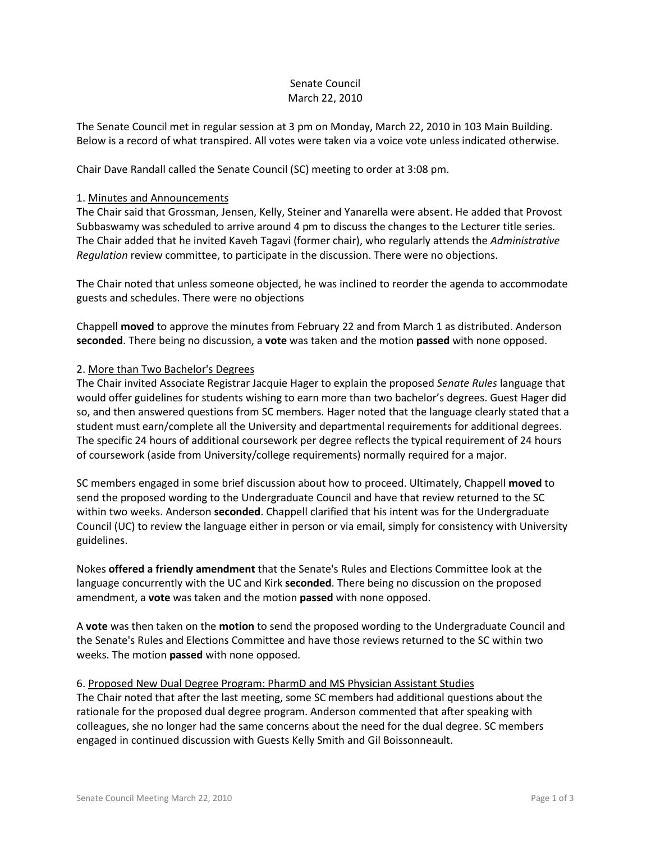## Senate Council March 22, 2010

The Senate Council met in regular session at 3 pm on Monday, March 22, 2010 in 103 Main Building. Below is a record of what transpired. All votes were taken via a voice vote unless indicated otherwise.

Chair Dave Randall called the Senate Council (SC) meeting to order at 3:08 pm.

## 1. Minutes and Announcements

The Chair said that Grossman, Jensen, Kelly, Steiner and Yanarella were absent. He added that Provost Subbaswamy was scheduled to arrive around 4 pm to discuss the changes to the Lecturer title series. The Chair added that he invited Kaveh Tagavi (former chair), who regularly attends the *Administrative Regulation* review committee, to participate in the discussion. There were no objections.

The Chair noted that unless someone objected, he was inclined to reorder the agenda to accommodate guests and schedules. There were no objections

Chappell **moved** to approve the minutes from February 22 and from March 1 as distributed. Anderson **seconded**. There being no discussion, a **vote** was taken and the motion **passed** with none opposed.

## 2. More than Two Bachelor's Degrees

The Chair invited Associate Registrar Jacquie Hager to explain the proposed *Senate Rules* language that would offer guidelines for students wishing to earn more than two bachelor's degrees. Guest Hager did so, and then answered questions from SC members. Hager noted that the language clearly stated that a student must earn/complete all the University and departmental requirements for additional degrees. The specific 24 hours of additional coursework per degree reflects the typical requirement of 24 hours of coursework (aside from University/college requirements) normally required for a major.

SC members engaged in some brief discussion about how to proceed. Ultimately, Chappell **moved** to send the proposed wording to the Undergraduate Council and have that review returned to the SC within two weeks. Anderson **seconded**. Chappell clarified that his intent was for the Undergraduate Council (UC) to review the language either in person or via email, simply for consistency with University guidelines.

Nokes **offered a friendly amendment** that the Senate's Rules and Elections Committee look at the language concurrently with the UC and Kirk **seconded**. There being no discussion on the proposed amendment, a **vote** was taken and the motion **passed** with none opposed.

A **vote** was then taken on the **motion** to send the proposed wording to the Undergraduate Council and the Senate's Rules and Elections Committee and have those reviews returned to the SC within two weeks. The motion **passed** with none opposed.

6. Proposed New Dual Degree Program: PharmD and MS Physician Assistant Studies The Chair noted that after the last meeting, some SC members had additional questions about the rationale for the proposed dual degree program. Anderson commented that after speaking with colleagues, she no longer had the same concerns about the need for the dual degree. SC members engaged in continued discussion with Guests Kelly Smith and Gil Boissonneault.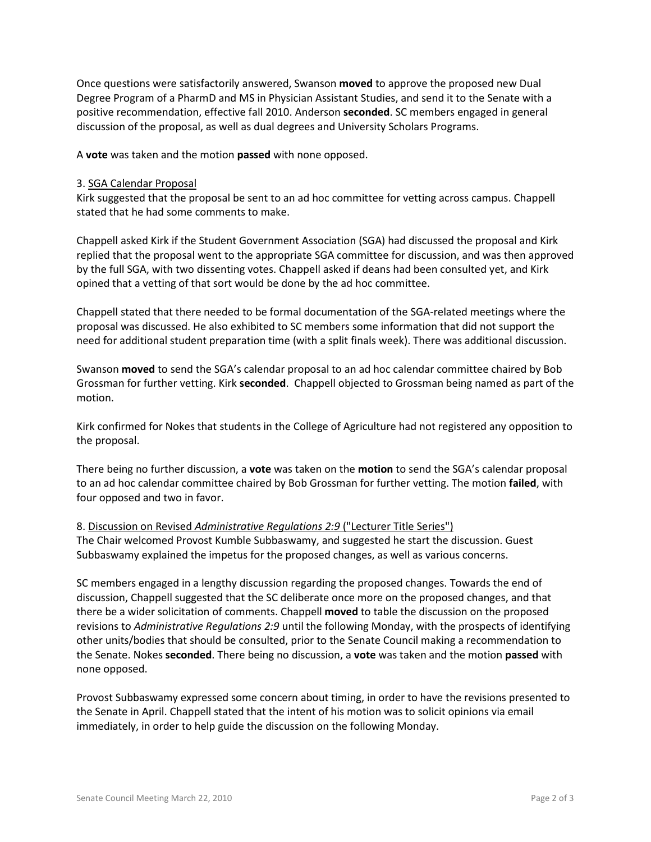Once questions were satisfactorily answered, Swanson **moved** to approve the proposed new Dual Degree Program of a PharmD and MS in Physician Assistant Studies, and send it to the Senate with a positive recommendation, effective fall 2010. Anderson **seconded**. SC members engaged in general discussion of the proposal, as well as dual degrees and University Scholars Programs.

A **vote** was taken and the motion **passed** with none opposed.

## 3. SGA Calendar Proposal

Kirk suggested that the proposal be sent to an ad hoc committee for vetting across campus. Chappell stated that he had some comments to make.

Chappell asked Kirk if the Student Government Association (SGA) had discussed the proposal and Kirk replied that the proposal went to the appropriate SGA committee for discussion, and was then approved by the full SGA, with two dissenting votes. Chappell asked if deans had been consulted yet, and Kirk opined that a vetting of that sort would be done by the ad hoc committee.

Chappell stated that there needed to be formal documentation of the SGA-related meetings where the proposal was discussed. He also exhibited to SC members some information that did not support the need for additional student preparation time (with a split finals week). There was additional discussion.

Swanson **moved** to send the SGA's calendar proposal to an ad hoc calendar committee chaired by Bob Grossman for further vetting. Kirk **seconded**. Chappell objected to Grossman being named as part of the motion.

Kirk confirmed for Nokes that students in the College of Agriculture had not registered any opposition to the proposal.

There being no further discussion, a **vote** was taken on the **motion** to send the SGA's calendar proposal to an ad hoc calendar committee chaired by Bob Grossman for further vetting. The motion **failed**, with four opposed and two in favor.

8. Discussion on Revised *Administrative Regulations 2:9* ("Lecturer Title Series") The Chair welcomed Provost Kumble Subbaswamy, and suggested he start the discussion. Guest Subbaswamy explained the impetus for the proposed changes, as well as various concerns.

SC members engaged in a lengthy discussion regarding the proposed changes. Towards the end of discussion, Chappell suggested that the SC deliberate once more on the proposed changes, and that there be a wider solicitation of comments. Chappell **moved** to table the discussion on the proposed revisions to *Administrative Regulations 2:9* until the following Monday, with the prospects of identifying other units/bodies that should be consulted, prior to the Senate Council making a recommendation to the Senate. Nokes **seconded**. There being no discussion, a **vote** was taken and the motion **passed** with none opposed.

Provost Subbaswamy expressed some concern about timing, in order to have the revisions presented to the Senate in April. Chappell stated that the intent of his motion was to solicit opinions via email immediately, in order to help guide the discussion on the following Monday.